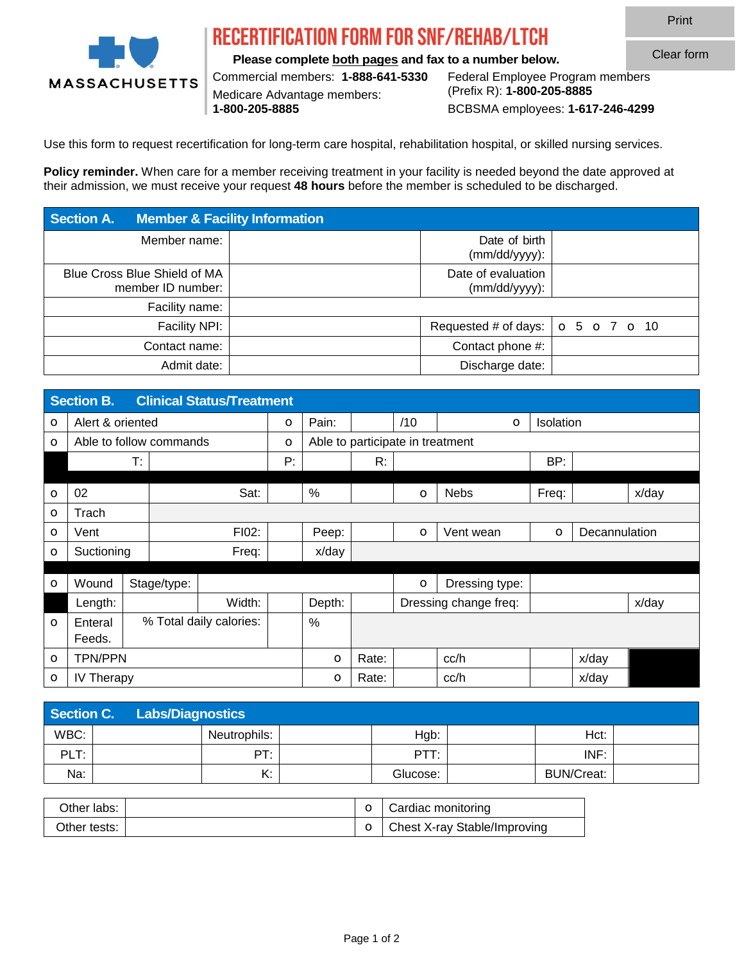

## recertification Form for SNF/Rehab/LTCH

**Please complete both pages and fax to a number below.**

Medicare Advantage members:

Commercial members: **1-888-641-5330** Federal Employee Program members **1-800-205-8885** BCBSMA employees: **1-617-246-4299**

Use this form to request recertification for long-term care hospital, rehabilitation hospital, or skilled nursing services.

**Policy reminder.** When care for a member receiving treatment in your facility is needed beyond the date approved at their admission, we must receive your request **48 hours** before the member is scheduled to be discharged.

| <b>Section A.</b>                                 | <b>Member &amp; Facility Information</b> |                                                               |  |
|---------------------------------------------------|------------------------------------------|---------------------------------------------------------------|--|
| Member name:                                      |                                          | Date of birth<br>$(mm/dd/yyyy)$ :                             |  |
| Blue Cross Blue Shield of MA<br>member ID number: |                                          | Date of evaluation<br>$(mm/dd/yyyy)$ :                        |  |
| Facility name:                                    |                                          |                                                               |  |
| Facility NPI:                                     |                                          | Requested # of days: $\vert \circ 5 \circ 7 \circ 10 \rangle$ |  |
| Contact name:                                     |                                          | Contact phone #:                                              |  |
| Admit date:                                       |                                          | Discharge date:                                               |  |

|            | <b>Clinical Status/Treatment</b><br><b>Section B.</b> |    |                         |        |         |        |                                  |         |                       |                  |               |       |  |  |
|------------|-------------------------------------------------------|----|-------------------------|--------|---------|--------|----------------------------------|---------|-----------------------|------------------|---------------|-------|--|--|
| $\circ$    | Alert & oriented                                      |    |                         |        | $\circ$ | Pain:  |                                  | /10     | $\circ$               | <b>Isolation</b> |               |       |  |  |
| $\circ$    | Able to follow commands                               |    |                         |        | $\circ$ |        | Able to participate in treatment |         |                       |                  |               |       |  |  |
|            |                                                       | T: |                         |        | Р:      |        | R:                               |         |                       | BP:              |               |       |  |  |
|            |                                                       |    |                         |        |         |        |                                  |         |                       |                  |               |       |  |  |
| $\circ$    | 02                                                    |    |                         | Sat:   |         | %      |                                  | $\circ$ | <b>Nebs</b>           | Freq:            |               | x/day |  |  |
| $\circ$    | Trach                                                 |    |                         |        |         |        |                                  |         |                       |                  |               |       |  |  |
| $\bigcirc$ | Vent                                                  |    |                         | FI02:  |         | Peep:  |                                  | $\circ$ | Vent wean             | $\circ$          | Decannulation |       |  |  |
| $\circ$    | Suctioning                                            |    |                         | Freq:  |         | x/day  |                                  |         |                       |                  |               |       |  |  |
|            |                                                       |    |                         |        |         |        |                                  |         |                       |                  |               |       |  |  |
| $\circ$    | Wound                                                 |    | Stage/type:             |        |         |        |                                  | $\circ$ | Dressing type:        |                  |               |       |  |  |
|            | Length:                                               |    |                         | Width: |         | Depth: |                                  |         | Dressing change freq: |                  |               | x/day |  |  |
| $\circ$    | Enteral                                               |    | % Total daily calories: |        |         | $\%$   |                                  |         |                       |                  |               |       |  |  |
|            | Feeds.                                                |    |                         |        |         |        |                                  |         |                       |                  |               |       |  |  |
| $\circ$    | <b>TPN/PPN</b>                                        |    |                         |        | $\circ$ | Rate:  |                                  | cc/h    |                       | x/day            |               |       |  |  |
| $\circ$    | IV Therapy                                            |    |                         |        |         |        | Rate:                            |         | cc/h                  |                  | x/day         |       |  |  |

|      | Section C.<br>Labs/Diagnostics |  |              |  |          |  |                   |  |  |  |
|------|--------------------------------|--|--------------|--|----------|--|-------------------|--|--|--|
| WBC: |                                |  | Neutrophils: |  | Hgb:     |  | Hct:              |  |  |  |
| PLT: |                                |  | pт·          |  | PTT:     |  | INF:              |  |  |  |
| Na:  |                                |  | K:           |  | Glucose: |  | <b>BUN/Creat:</b> |  |  |  |

| Other labs: I  |  | $\circ$   Cardiac monitoring   |
|----------------|--|--------------------------------|
| Other tests: I |  | ○ Chest X-ray Stable/Improving |

Print